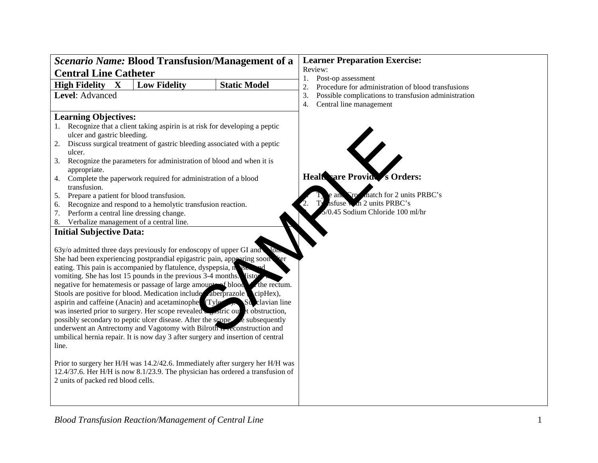| <b>Scenario Name: Blood Transfusion/Management of a</b>                          | <b>Learner Preparation Exercise:</b>                       |  |  |
|----------------------------------------------------------------------------------|------------------------------------------------------------|--|--|
| <b>Central Line Catheter</b>                                                     | Review:                                                    |  |  |
| $\mathbf{X}$<br><b>Low Fidelity</b><br><b>Static Model</b>                       | Post-op assessment<br>1.                                   |  |  |
| <b>High Fidelity</b>                                                             | Procedure for administration of blood transfusions<br>2.   |  |  |
| Level: Advanced                                                                  | Possible complications to transfusion administration<br>3. |  |  |
|                                                                                  | Central line management<br>4.                              |  |  |
| <b>Learning Objectives:</b>                                                      |                                                            |  |  |
| Recognize that a client taking aspirin is at risk for developing a peptic<br>1.  |                                                            |  |  |
| ulcer and gastric bleeding.                                                      |                                                            |  |  |
| Discuss surgical treatment of gastric bleeding associated with a peptic<br>2.    |                                                            |  |  |
| ulcer.                                                                           |                                                            |  |  |
| Recognize the parameters for administration of blood and when it is<br>3.        |                                                            |  |  |
| appropriate.                                                                     |                                                            |  |  |
| Complete the paperwork required for administration of a blood<br>4.              | Healt are Provid s Orders:                                 |  |  |
| transfusion.                                                                     |                                                            |  |  |
| Prepare a patient for blood transfusion.<br>5.                                   | match for 2 units PRBC's<br>`ro<br>e ant                   |  |  |
| Recognize and respond to a hemolytic transfusion reaction.<br>6.                 | hsfuse w.h 2 units PRBC's                                  |  |  |
| Perform a central line dressing change.<br>7.                                    | /0.45 Sodium Chloride 100 ml/hr                            |  |  |
| 8. Verbalize management of a central line.                                       |                                                            |  |  |
| <b>Initial Subjective Data:</b>                                                  |                                                            |  |  |
|                                                                                  |                                                            |  |  |
| 63y/o admitted three days previously for endoscopy of upper GI and               |                                                            |  |  |
| She had been experiencing postprandial epigastric pain, appearing soon<br>ter    |                                                            |  |  |
| eating. This pain is accompanied by flatulence, dyspepsia, no use                |                                                            |  |  |
| vomiting. She has lost 15 pounds in the previous 3-4 months. [isto-              |                                                            |  |  |
| negative for hematemesis or passage of large amounteed blood variety the rectum. |                                                            |  |  |
| Stools are positive for blood. Medication include aberprazole cipHex),           |                                                            |  |  |
| aspirin and caffeine (Anacin) and acetaminophe (Tyle S. St. clavian line         |                                                            |  |  |
| was inserted prior to surgery. Her scope revealed                                |                                                            |  |  |
| possibly secondary to peptic ulcer disease. After the scope                      |                                                            |  |  |
| underwent an Antrectomy and Vagotomy with Bilroth  econstruction and             |                                                            |  |  |
| umbilical hernia repair. It is now day 3 after surgery and insertion of central  |                                                            |  |  |
| line.                                                                            |                                                            |  |  |
|                                                                                  |                                                            |  |  |
| Prior to surgery her H/H was 14.2/42.6. Immediately after surgery her H/H was    |                                                            |  |  |
| 12.4/37.6. Her H/H is now 8.1/23.9. The physician has ordered a transfusion of   |                                                            |  |  |
| 2 units of packed red blood cells.                                               |                                                            |  |  |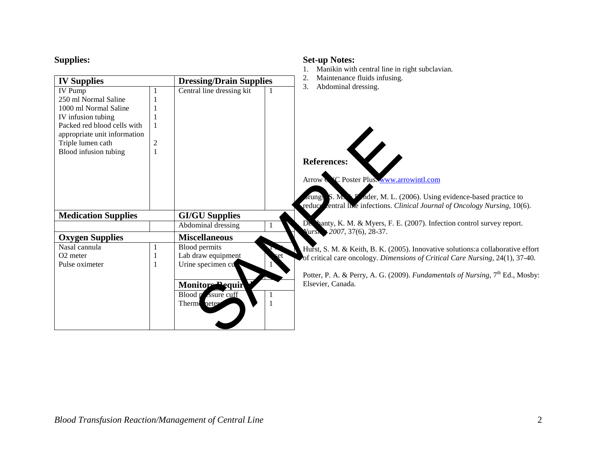| <b>Supplies:</b>                                                                                                                                                                                   |                                                                      |                                                                                                                         |      | <b>Set-up Notes:</b><br>Manikin with central line in right subclavian.                                                                                                                                                                                                    |
|----------------------------------------------------------------------------------------------------------------------------------------------------------------------------------------------------|----------------------------------------------------------------------|-------------------------------------------------------------------------------------------------------------------------|------|---------------------------------------------------------------------------------------------------------------------------------------------------------------------------------------------------------------------------------------------------------------------------|
| <b>IV Supplies</b>                                                                                                                                                                                 | Maintenance fluids infusing.<br>2.<br><b>Dressing/Drain Supplies</b> |                                                                                                                         |      |                                                                                                                                                                                                                                                                           |
| <b>IV Pump</b><br>250 ml Normal Saline<br>1000 ml Normal Saline<br>IV infusion tubing<br>Packed red blood cells with<br>appropriate unit information<br>Triple lumen cath<br>Blood infusion tubing | 2                                                                    | Central line dressing kit                                                                                               |      | 3.<br>Abdominal dressing.<br><b>References:</b><br><sup>V</sup> C Poster Plus. www.arrowintl.com<br>Arrow N<br>S. M. P. Ader, M. L. (2006). Using evidence-based practice to<br>rungs<br>entral live infections. Clinical Journal of Oncology Nursing, 10(6).<br>reduce   |
| <b>Medication Supplies</b>                                                                                                                                                                         |                                                                      | <b>GI/GU Supplies</b>                                                                                                   |      |                                                                                                                                                                                                                                                                           |
|                                                                                                                                                                                                    |                                                                      | Abdominal dressing                                                                                                      |      | De banty, K. M. & Myers, F. E. (2007). Infection control survey report.<br>Vursit 2007, 37(6), 28-37.                                                                                                                                                                     |
| <b>Oxygen Supplies</b>                                                                                                                                                                             |                                                                      | <b>Miscellaneous</b>                                                                                                    |      |                                                                                                                                                                                                                                                                           |
| Nasal cannula<br>O <sub>2</sub> meter<br>Pulse oximeter                                                                                                                                            | 1<br>-1                                                              | <b>Blood permits</b><br>Lab draw equipment<br>Urine specimen cu<br>Monitors Pequir<br>Blood passure cuff<br>Therm neter | et ` | Hurst, S. M. & Keith, B. K. (2005). Innovative solutions: a collaborative effort<br>of critical care oncology. Dimensions of Critical Care Nursing, 24(1), 37-40.<br>Potter, P. A. & Perry, A. G. (2009). Fundamentals of Nursing, $7th$ Ed., Mosby:<br>Elsevier, Canada. |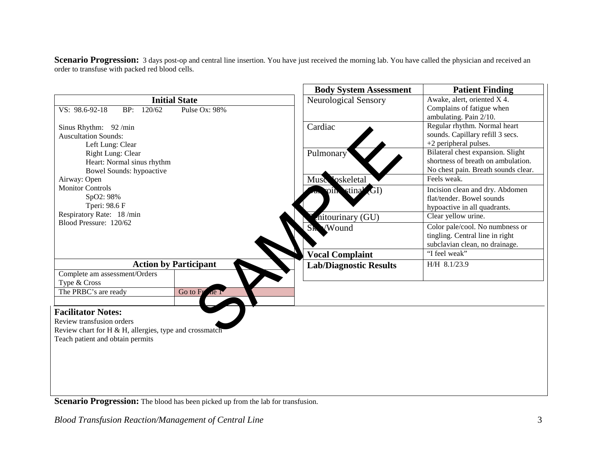Scenario Progression: 3 days post-op and central line insertion. You have just received the morning lab. You have called the physician and received an order to transfuse with packed red blood cells.

|                                                                                                                                                      |                                       | <b>Body System Assessment</b>                        | <b>Patient Finding</b>                                                                                         |
|------------------------------------------------------------------------------------------------------------------------------------------------------|---------------------------------------|------------------------------------------------------|----------------------------------------------------------------------------------------------------------------|
| VS: 98.6-92-18<br>BP: 120/62                                                                                                                         | <b>Initial State</b><br>Pulse Ox: 98% | Neurological Sensory                                 | Awake, alert, oriented X 4.<br>Complains of fatigue when<br>ambulating. Pain 2/10.                             |
| Sinus Rhythm: 92 /min<br><b>Auscultation Sounds:</b><br>Left Lung: Clear                                                                             |                                       | Cardiac                                              | Regular rhythm. Normal heart<br>sounds. Capillary refill 3 secs.<br>$+2$ peripheral pulses.                    |
| Right Lung: Clear<br>Heart: Normal sinus rhythm<br>Bowel Sounds: hypoactive                                                                          |                                       | Pulmonary                                            | Bilateral chest expansion. Slight<br>shortness of breath on ambulation.<br>No chest pain. Breath sounds clear. |
| Airway: Open                                                                                                                                         |                                       | oskeletal<br>Musc                                    | Feels weak.                                                                                                    |
| <b>Monitor Controls</b><br>SpO2: 98%<br>Tperi: 98.6 F                                                                                                |                                       | stina <sup>y</sup><br>$\mathbf{G}$ I)<br><b>OIIN</b> | Incision clean and dry. Abdomen<br>flat/tender. Bowel sounds<br>hypoactive in all quadrants.                   |
| Respiratory Rate: 18 /min                                                                                                                            |                                       | nitourinary (GU)                                     | Clear yellow urine.                                                                                            |
| Blood Pressure: 120/62                                                                                                                               |                                       | Sk Wound                                             | Color pale/cool. No numbness or<br>tingling. Central line in right<br>subclavian clean, no drainage.           |
|                                                                                                                                                      |                                       | <b>Vocal Complaint</b>                               | "I feel weak"                                                                                                  |
|                                                                                                                                                      | <b>Action by Participant</b>          | <b>Lab/Diagnostic Results</b>                        | H/H 8.1/23.9                                                                                                   |
| Complete am assessment/Orders                                                                                                                        |                                       |                                                      |                                                                                                                |
| Type & Cross                                                                                                                                         |                                       |                                                      |                                                                                                                |
| The PRBC's are ready                                                                                                                                 | Go to Fr<br>ne r                      |                                                      |                                                                                                                |
| <b>Facilitator Notes:</b><br>Review transfusion orders<br>Review chart for H & H, allergies, type and crossmatch<br>Teach patient and obtain permits |                                       |                                                      |                                                                                                                |

**Scenario Progression:** The blood has been picked up from the lab for transfusion.

*Blood Transfusion Reaction/Management of Central Line* 3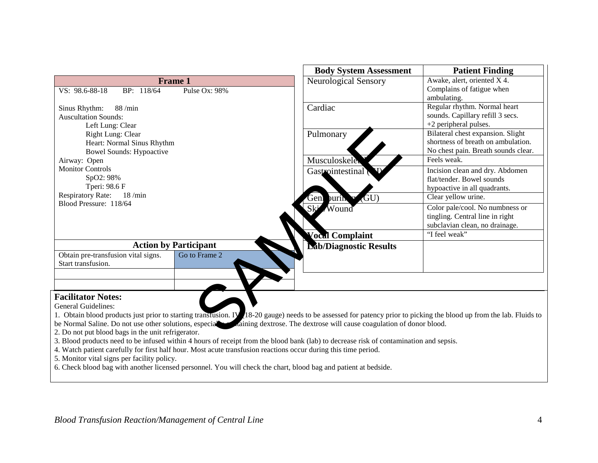|                                                                                                                                                                                                                 |                                                                                                                                                                                                                                                                                                                                                                                                                                                                                                                                                     | <b>Body System Assessment</b>                                        | <b>Patient Finding</b>                                                                                         |
|-----------------------------------------------------------------------------------------------------------------------------------------------------------------------------------------------------------------|-----------------------------------------------------------------------------------------------------------------------------------------------------------------------------------------------------------------------------------------------------------------------------------------------------------------------------------------------------------------------------------------------------------------------------------------------------------------------------------------------------------------------------------------------------|----------------------------------------------------------------------|----------------------------------------------------------------------------------------------------------------|
| BP: 118/64<br>VS: 98.6-88-18                                                                                                                                                                                    | <b>Frame 1</b><br>Pulse Ox: 98%                                                                                                                                                                                                                                                                                                                                                                                                                                                                                                                     | <b>Neurological Sensory</b>                                          | Awake, alert, oriented X 4.<br>Complains of fatigue when<br>ambulating.                                        |
| 88 /min<br>Sinus Rhythm:<br><b>Auscultation Sounds:</b><br>Left Lung: Clear                                                                                                                                     |                                                                                                                                                                                                                                                                                                                                                                                                                                                                                                                                                     | Cardiac                                                              | Regular rhythm. Normal heart<br>sounds. Capillary refill 3 secs.<br>+2 peripheral pulses.                      |
| Right Lung: Clear<br>Heart: Normal Sinus Rhythm<br><b>Bowel Sounds: Hypoactive</b>                                                                                                                              |                                                                                                                                                                                                                                                                                                                                                                                                                                                                                                                                                     | Pulmonary                                                            | Bilateral chest expansion. Slight<br>shortness of breath on ambulation.<br>No chest pain. Breath sounds clear. |
| Airway: Open                                                                                                                                                                                                    |                                                                                                                                                                                                                                                                                                                                                                                                                                                                                                                                                     | Musculoskele                                                         | Feels weak.                                                                                                    |
| <b>Monitor Controls</b><br>SpO2: 98%<br>Tperi: 98.6 F                                                                                                                                                           |                                                                                                                                                                                                                                                                                                                                                                                                                                                                                                                                                     | Gastrointestinal                                                     | Incision clean and dry. Abdomen<br>flat/tender. Bowel sounds<br>hypoactive in all quadrants.                   |
| <b>Respiratory Rate:</b><br>18 / min<br>Blood Pressure: 118/64                                                                                                                                                  |                                                                                                                                                                                                                                                                                                                                                                                                                                                                                                                                                     | GU)<br>Geni<br>purin                                                 | Clear yellow urine.                                                                                            |
|                                                                                                                                                                                                                 |                                                                                                                                                                                                                                                                                                                                                                                                                                                                                                                                                     | Ski<br>Wound                                                         | Color pale/cool. No numbness or<br>tingling. Central line in right<br>subclavian clean, no drainage.           |
|                                                                                                                                                                                                                 |                                                                                                                                                                                                                                                                                                                                                                                                                                                                                                                                                     | Vocal Complaint                                                      | "I feel weak"                                                                                                  |
|                                                                                                                                                                                                                 | <b>Action by Participant</b>                                                                                                                                                                                                                                                                                                                                                                                                                                                                                                                        | <b>Eab/Diagnostic Results</b>                                        |                                                                                                                |
| Obtain pre-transfusion vital signs.<br>Start transfusion.                                                                                                                                                       | Go to Frame 2                                                                                                                                                                                                                                                                                                                                                                                                                                                                                                                                       |                                                                      |                                                                                                                |
|                                                                                                                                                                                                                 |                                                                                                                                                                                                                                                                                                                                                                                                                                                                                                                                                     |                                                                      |                                                                                                                |
| <b>Facilitator Notes:</b><br>General Guidelines:<br>be Normal Saline. Do not use other solutions, especial<br>2. Do not put blood bags in the unit refrigerator.<br>5. Monitor vital signs per facility policy. | 1. Obtain blood products just prior to starting transfusion. IV 18-20 gauge) needs to be assessed for patency prior to picking the blood up from the lab. Fluids to<br>3. Blood products need to be infused within 4 hours of receipt from the blood bank (lab) to decrease risk of contamination and sepsis.<br>4. Watch patient carefully for first half hour. Most acute transfusion reactions occur during this time period.<br>6. Check blood bag with another licensed personnel. You will check the chart, blood bag and patient at bedside. | aining dextrose. The dextrose will cause coagulation of donor blood. |                                                                                                                |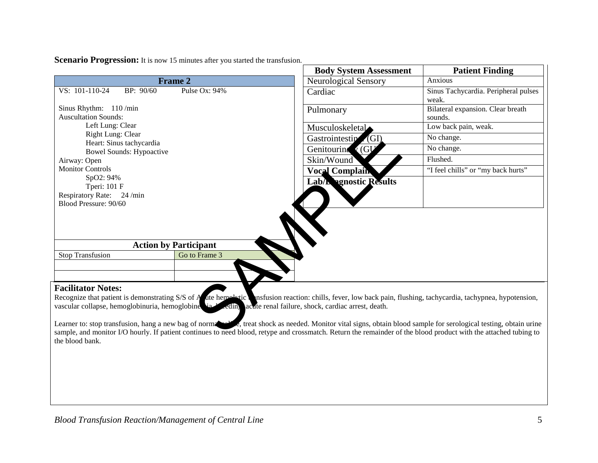|                                                                                                                                                                                                                                                                                                    |                                                                                                                                                                                                                                                                                                                                        | <b>Body System Assessment</b>   | <b>Patient Finding</b>                        |
|----------------------------------------------------------------------------------------------------------------------------------------------------------------------------------------------------------------------------------------------------------------------------------------------------|----------------------------------------------------------------------------------------------------------------------------------------------------------------------------------------------------------------------------------------------------------------------------------------------------------------------------------------|---------------------------------|-----------------------------------------------|
|                                                                                                                                                                                                                                                                                                    | <b>Frame 2</b>                                                                                                                                                                                                                                                                                                                         | <b>Neurological Sensory</b>     | Anxious                                       |
| VS: 101-110-24<br>BP: 90/60                                                                                                                                                                                                                                                                        | Pulse Ox: 94%                                                                                                                                                                                                                                                                                                                          | Cardiac                         | Sinus Tachycardia. Peripheral pulses<br>weak. |
| Sinus Rhythm: 110/min<br><b>Auscultation Sounds:</b>                                                                                                                                                                                                                                               |                                                                                                                                                                                                                                                                                                                                        | Pulmonary                       | Bilateral expansion. Clear breath<br>sounds.  |
| Left Lung: Clear                                                                                                                                                                                                                                                                                   |                                                                                                                                                                                                                                                                                                                                        | Musculoskeletal                 | Low back pain, weak.                          |
| Right Lung: Clear<br>Heart: Sinus tachycardia                                                                                                                                                                                                                                                      |                                                                                                                                                                                                                                                                                                                                        | Gastrointestin<br>$\angle$ (GI) | No change.                                    |
| <b>Bowel Sounds: Hypoactive</b>                                                                                                                                                                                                                                                                    |                                                                                                                                                                                                                                                                                                                                        | Genitouring 1 (GU               | No change.                                    |
| Airway: Open                                                                                                                                                                                                                                                                                       |                                                                                                                                                                                                                                                                                                                                        | Skin/Wound                      | Flushed.                                      |
| <b>Monitor Controls</b>                                                                                                                                                                                                                                                                            |                                                                                                                                                                                                                                                                                                                                        | <b>Vocal Complain</b>           | "I feel chills" or "my back hurts"            |
| SpO2: 94%<br>Tperi: 101 F<br>Respiratory Rate: 24 /min<br>Blood Pressure: 90/60                                                                                                                                                                                                                    |                                                                                                                                                                                                                                                                                                                                        | Lab/L renostic Results          |                                               |
|                                                                                                                                                                                                                                                                                                    | <b>Action by Participant</b>                                                                                                                                                                                                                                                                                                           |                                 |                                               |
| <b>Stop Transfusion</b>                                                                                                                                                                                                                                                                            | Go to Frame 3                                                                                                                                                                                                                                                                                                                          |                                 |                                               |
|                                                                                                                                                                                                                                                                                                    |                                                                                                                                                                                                                                                                                                                                        |                                 |                                               |
| <b>Facilitator Notes:</b><br>Recognize that patient is demonstrating S/S of A dte hemolytic nsfusion reaction: chills, fever, low back pain, flushing, tachycardia, tachypnea, hypotension,<br>vascular collapse, hemoglobinuria, hemoglobine variation and failure, shock, cardiac arrest, death. |                                                                                                                                                                                                                                                                                                                                        |                                 |                                               |
|                                                                                                                                                                                                                                                                                                    | Learner to: stop transfusion, hang a new bag of norms of the treat shock as needed. Monitor vital signs, obtain blood sample for serological testing, obtain urine<br>sample, and monitor I/O hourly. If patient continues to need blood, retype and crossmatch. Return the remainder of the blood product with the attached tubing to |                                 |                                               |

**Scenario Progression:** It is now 15 minutes after you started the transfusion.

Learner to: stop transfusion, hang a new bag of normal saline, treat shock as needed. Monitor vital signs, obtain blood sample for serological testing, obtain urine sample, and monitor I/O hourly. If patient continues to need blood, retype and crossmatch. Return the remainder of the blood product with the attached tubing to the blood bank.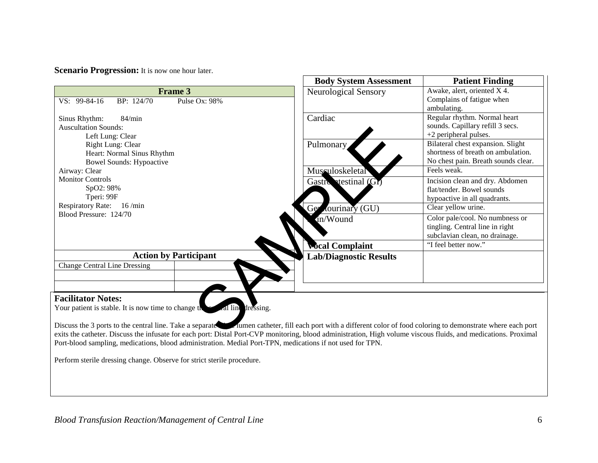**Scenario Progression:** It is now one hour later.

|                                                                                                                                                                                                                                                                                                                                                                                                                                                    | <b>Body System Assessment</b> | <b>Patient Finding</b>                                                                                         |
|----------------------------------------------------------------------------------------------------------------------------------------------------------------------------------------------------------------------------------------------------------------------------------------------------------------------------------------------------------------------------------------------------------------------------------------------------|-------------------------------|----------------------------------------------------------------------------------------------------------------|
| <b>Frame 3</b>                                                                                                                                                                                                                                                                                                                                                                                                                                     | Neurological Sensory          | Awake, alert, oriented X 4.                                                                                    |
| VS: 99-84-16<br>BP: 124/70<br>Pulse Ox: 98%                                                                                                                                                                                                                                                                                                                                                                                                        |                               | Complains of fatigue when<br>ambulating.                                                                       |
| Sinus Rhythm:<br>84/min<br><b>Auscultation Sounds:</b><br>Left Lung: Clear                                                                                                                                                                                                                                                                                                                                                                         | Cardiac                       | Regular rhythm. Normal heart<br>sounds. Capillary refill 3 secs.<br>$+2$ peripheral pulses.                    |
| Right Lung: Clear<br>Heart: Normal Sinus Rhythm<br><b>Bowel Sounds: Hypoactive</b>                                                                                                                                                                                                                                                                                                                                                                 | Pulmonary                     | Bilateral chest expansion. Slight<br>shortness of breath on ambulation.<br>No chest pain. Breath sounds clear. |
| Airway: Clear                                                                                                                                                                                                                                                                                                                                                                                                                                      | Museuloskeletal               | Feels weak.                                                                                                    |
| <b>Monitor Controls</b><br>SpO2: 98%<br>Tperi: 99F                                                                                                                                                                                                                                                                                                                                                                                                 | Gastro testinal (Gr)          | Incision clean and dry. Abdomen<br>flat/tender. Bowel sounds<br>hypoactive in all quadrants.                   |
| <b>Respiratory Rate:</b><br>16 / min<br>Blood Pressure: 124/70                                                                                                                                                                                                                                                                                                                                                                                     | tourinary (GU)<br>Ger         | Clear yellow urine.                                                                                            |
|                                                                                                                                                                                                                                                                                                                                                                                                                                                    | in/Wound                      | Color pale/cool. No numbness or<br>tingling. Central line in right<br>subclavian clean, no drainage.           |
|                                                                                                                                                                                                                                                                                                                                                                                                                                                    | <b>Mocal Complaint</b>        | "I feel better now."                                                                                           |
| <b>Action by Participant</b><br><b>Change Central Line Dressing</b>                                                                                                                                                                                                                                                                                                                                                                                | <b>Lab/Diagnostic Results</b> |                                                                                                                |
|                                                                                                                                                                                                                                                                                                                                                                                                                                                    |                               |                                                                                                                |
| <b>Facilitator Notes:</b><br>al line dressing.<br>Your patient is stable. It is now time to change the                                                                                                                                                                                                                                                                                                                                             |                               |                                                                                                                |
| Discuss the 3 ports to the central line. Take a separate in turner catheter, fill each port with a different color of food coloring to demonstrate where each port<br>exits the catheter. Discuss the infusate for each port: Distal Port-CVP monitoring, blood administration, High volume viscous fluids, and medications. Proximal<br>Port-blood sampling, medications, blood administration. Medial Port-TPN, medications if not used for TPN. |                               |                                                                                                                |

Perform sterile dressing change. Observe for strict sterile procedure.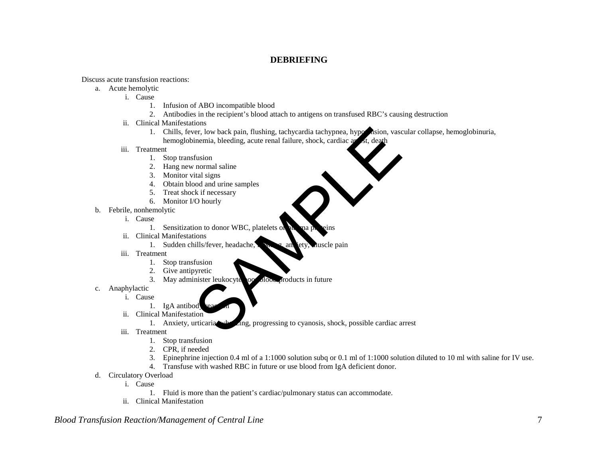## **DEBRIEFING**

Discuss acute transfusion reactions:

- a. Acute hemolytic
	- i. Cause
		- 1. Infusion of ABO incompatible blood
		- 2. Antibodies in the recipient's blood attach to antigens on transfused RBC's causing destruction
	- ii. Clinical Manifestations
		- 1. Chills, fever, low back pain, flushing, tachycardia tachypnea, hypothesion, vascular collapse, hemoglobinuria, hemoglobinemia, bleeding, acute renal failure, shock, cardiac arrest, death For the back pain, flushing, tachycardia tachypnea, hypothsion, vascinemia, bleeding, acute renal failure, shock, cardiac and the flusion<br>flusion<br>flusion<br>normal saline<br>ital signs<br>bood and urine samples<br>k if necessary<br>(O ho
	- iii. Treatment
		- 1. Stop transfusion
		- 2. Hang new normal saline
		- 3. Monitor vital signs
		- 4. Obtain blood and urine samples
		- 5. Treat shock if necessary
		- 6. Monitor I/O hourly
- b. Febrile, nonhemolytic
	- i. Cause
		- 1. Sensitization to donor WBC, platelets of
	- ii. Clinical Manifestations
		- 1. Sudden chills/fever, headache,  $\sum_i$  and lety, duscle pain
	- iii. Treatment
		- 1. Stop transfusion
		- 2. Give antipyretic
		- 3. May administer leukocyte loo blood products in future
- c. Anaphylactic
	- i. Cause
		- 1. IgA antibod
	- ii. Clinical Manifestation
		- 1. Anxiety, urticaria, when  $\Delta$ ng, progressing to cyanosis, shock, possible cardiac arrest
	- iii. Treatment
		- 1. Stop transfusion
		- 2. CPR, if needed
		- 3. Epinephrine injection 0.4 ml of a 1:1000 solution subq or 0.1 ml of 1:1000 solution diluted to 10 ml with saline for IV use.
		- 4. Transfuse with washed RBC in future or use blood from IgA deficient donor.
- d. Circulatory Overload
	- i. Cause
		- 1. Fluid is more than the patient's cardiac/pulmonary status can accommodate.
	- ii. Clinical Manifestation